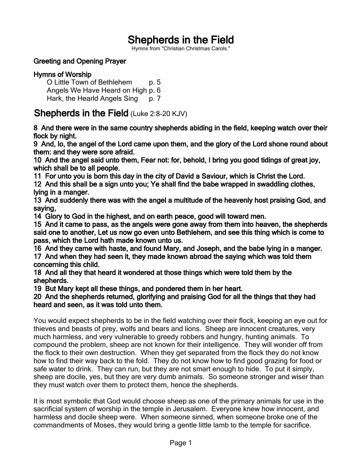## Shepherds in the Field

Hymns from "Christian Christmas Carols."

## Greeting and Opening Prayer

## Hymns of Worship

O Little Town of Bethlehem p. 5 Angels We Have Heard on High p. 6 Hark, the Hearld Angels Sing p. 7

## Shepherds in the Field (Luke 2:8-20 KJV)

8 And there were in the same country shepherds abiding in the field, keeping watch over their flock by night.

9 And, lo, the angel of the Lord came upon them, and the glory of the Lord shone round about them: and they were sore afraid.

10 And the angel said unto them, Fear not: for, behold, I bring you good tidings of great joy, which shall be to all people.

11 For unto you is born this day in the city of David a Saviour, which is Christ the Lord.

12 And this shall be a sign unto you; Ye shall find the babe wrapped in swaddling clothes, lying in a manger.

13 And suddenly there was with the angel a multitude of the heavenly host praising God, and saying,

14 Glory to God in the highest, and on earth peace, good will toward men.

15 And it came to pass, as the angels were gone away from them into heaven, the shepherds said one to another, Let us now go even unto Bethlehem, and see this thing which is come to pass, which the Lord hath made known unto us.

16 And they came with haste, and found Mary, and Joseph, and the babe lying in a manger.

17 And when they had seen it, they made known abroad the saying which was told them concerning this child.

18 And all they that heard it wondered at those things which were told them by the shepherds.

19 But Mary kept all these things, and pondered them in her heart.

20 And the shepherds returned, glorifying and praising God for all the things that they had heard and seen, as it was told unto them.

You would expect shepherds to be in the field watching over their flock, keeping an eye out for thieves and beasts of prey, wolfs and bears and lions. Sheep are innocent creatures, very much harmless, and very vulnerable to greedy robbers and hungry, hunting animals. To compound the problem, sheep are not known for their intelligence. They will wonder off from the flock to their own destruction. When they get separated from the flock they do not know how to find their way back to the fold. They do not know how to find good grazing for food or safe water to drink. They can run, but they are not smart enough to hide. To put it simply, sheep are docile, yes, but they are very dumb animals. So someone stronger and wiser than they must watch over them to protect them, hence the shepherds.

It is most symbolic that God would choose sheep as one of the primary animals for use in the sacrificial system of worship in the temple in Jerusalem. Everyone knew how innocent, and harmless and docile sheep were. When someone sinned, when someone broke one of the commandments of Moses, they would bring a gentle little lamb to the temple for sacrifice.